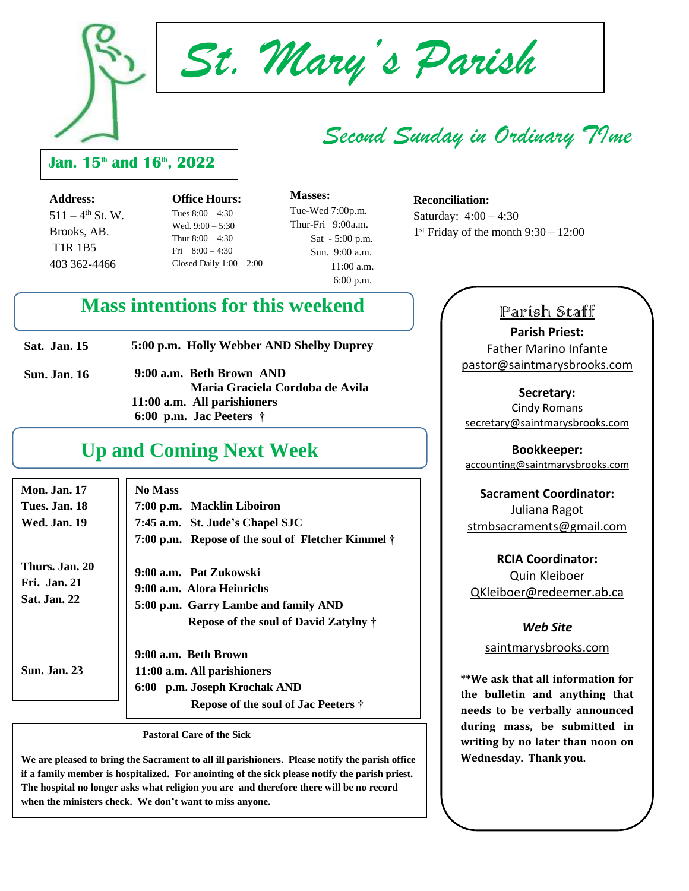

*St. Mary's Parish*

## *Second Sunday in Ordinary TIme*

## **Jan. 15th and 16th, 2022**

**Address:**  $511 - 4$ <sup>th</sup> St. W. Brooks, AB. T1R 1B5 403 362-4466

**Office Hours:** Tues 8:00 – 4:30 Wed. 9:00 – 5:30 Thur  $8:00 - 4:30$ Fri 8:00 – 4:30 Closed Daily  $1:00 - 2:00$ 

 **Masses:** Tue-Wed 7:00p.m. Thur-Fri 9:00a.m. Sat - 5:00 p.m. Sun. 9:00 a.m. 11:00 a.m. 6:00 p.m.

#### **Reconciliation:**

Saturday: 4:00 – 4:30 1 st Friday of the month 9:30 – 12:00

## **Mass intentions for this weekend**

| <b>Sat. Jan. 15</b> | 5:00 p.m. Holly Webber AND Shelby Duprey                       |
|---------------------|----------------------------------------------------------------|
| <b>Sun. Jan. 16</b> | 9:00 a.m. Beth Brown AND<br>Maria Graciela Cordoba de Avila    |
|                     | 11:00 a.m. All parishioners<br>6:00 p.m. Jac Peeters $\dagger$ |
|                     |                                                                |

## **Up and Coming Next Week**

| <b>Mon. Jan. 17</b><br>Tues. Jan. 18<br>Wed. Jan. 19         | <b>No Mass</b><br>7:00 p.m. Macklin Liboiron<br>7:45 a.m. St. Jude's Chapel SJC                                                                                                                   |
|--------------------------------------------------------------|---------------------------------------------------------------------------------------------------------------------------------------------------------------------------------------------------|
| Thurs. Jan. 20<br><b>Fri.</b> Jan. 21<br><b>Sat. Jan. 22</b> | 7:00 p.m. Repose of the soul of Fletcher Kimmel $\dagger$<br>9:00 a.m. Pat Zukowski<br>9:00 a.m. Alora Heinrichs<br>5:00 p.m. Garry Lambe and family AND<br>Repose of the soul of David Zatylny † |
| <b>Sun. Jan. 23</b>                                          | 9:00 a.m. Beth Brown<br>11:00 a.m. All parishioners<br>6:00 p.m. Joseph Krochak AND<br><b>Repose of the soul of Jac Peeters †</b>                                                                 |

 **Pastoral Care of the Sick**

**We are pleased to bring the Sacrament to all ill parishioners. Please notify the parish office if a family member is hospitalized. For anointing of the sick please notify the parish priest. The hospital no longer asks what religion you are and therefore there will be no record when the ministers check. We don't want to miss anyone.**

## Parish Staff

**Parish Priest:** Father Marino Infante [pastor@saintmarysbrooks.com](mailto:pastor@saintmarysbrooks.com)

**Secretary:** Cindy Romans [secretary@saintmarysbrooks.com](mailto:secretary@saintmarysbrooks.com)

**Bookkeeper:** [accounting@saintmarysbrooks.com](mailto:accounting@saintmarysbrooks.com)

## **Sacrament Coordinator:** Juliana Ragot [stmbsacraments@gmail.com](mailto:stmbsacraments@gmail.com)

**RCIA Coordinator:** Quin Kleiboer QKleiboer@redeemer.ab.ca

#### *Web Site*

saintmarysbrooks.com

**\*\*We ask that all information for the bulletin and anything that needs to be verbally announced during mass, be submitted in writing by no later than noon on Wednesday. Thank you.**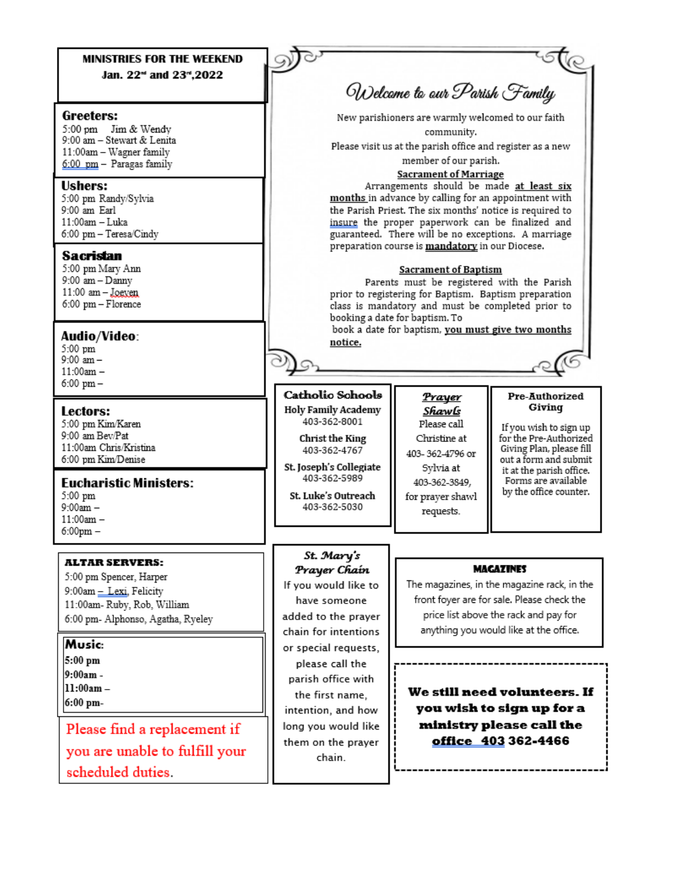### **MINISTRIES FOR THE WEEKEND** Jan. 22<sup>-4</sup> and 23<sup>-4</sup>,2022

#### Greefers:

5:00 pm Jim & Wendy 9:00 am - Stewart & Lenita 11:00am - Wagner family 6:00 pm - Paragas family

#### **Ushers:**

5:00 pm Randy/Sylvia 9:00 am Earl 11:00am - Luka 6:00 pm - Teresa/Cindy

#### **Sacristan**

5:00 pm Mary Ann  $9:00$  am  $-$  Danny 11:00 am - Joeven 6:00 pm - Florence

#### Audio/Video:

5:00 pm  $9:00 \text{ am} 11:00am 6:00$  pm  $-$ 

#### Lectors:

5:00 pm Kim/Karen 9:00 am Bev/Pat 11:00am Chris/Kristina 6:00 pm Kim/Denise

#### **Eucharistic Ministers:**

5:00 pm  $9:00am 11:00am 6:00$ pm $-$ 

#### **ALTAR SERVERS:**

5:00 pm Spencer, Harper 9:00am - Lexi. Felicity 11:00am- Ruby, Rob, William 6:00 pm- Alphonso, Agatha, Ryeley

Music:

 $5:00$  pm 9:00am -

 $11:00am -$ 

6:00 pm-

Please find a replacement if you are unable to fulfill your scheduled duties.

Welcome to our Parish Family New parishioners are warmly welcomed to our faith community. Please visit us at the parish office and register as a new member of our parish. **Sacrament of Marriage** Arrangements should be made at least six months in advance by calling for an appointment with the Parish Priest. The six months' notice is required to insure the proper paperwork can be finalized and guaranteed. There will be no exceptions. A marriage preparation course is mandatory in our Diocese. **Sacrament of Baptism** Parents must be registered with the Parish prior to registering for Baptism. Baptism preparation class is mandatory and must be completed prior to booking a date for baptism. To book a date for baptism, you must give two months notice.

#### Catholic Schools **Holy Family Academy**

403-362-8001

Christ the King 403-362-4767

St. Joseph's Collegiate 403-362-5989

St. Luke's Outreach 403-362-5030

St. Mary's

Prayer Chaín

If you would like to

have someone

added to the prayer

chain for intentions

or special requests,

please call the

parish office with

the first name.

intention, and how

long you would like

them on the prayer

chain.

Prayer Shawls Please call Christine at 403-362-4796 or Svlvia at 403-362-3849, for prayer shawl requests.

#### Pre-Authorized Giving

If you wish to sign up for the Pre-Authorized Giving Plan, please fill out a form and submit it at the parish office. Forms are available by the office counter.

#### **MAGAZINES**

The magazines, in the magazine rack, in the front foyer are for sale. Please check the price list above the rack and pay for anything you would like at the office.

We still need volunteers. If you wish to sign up for a ministry please call the office 403 362-4466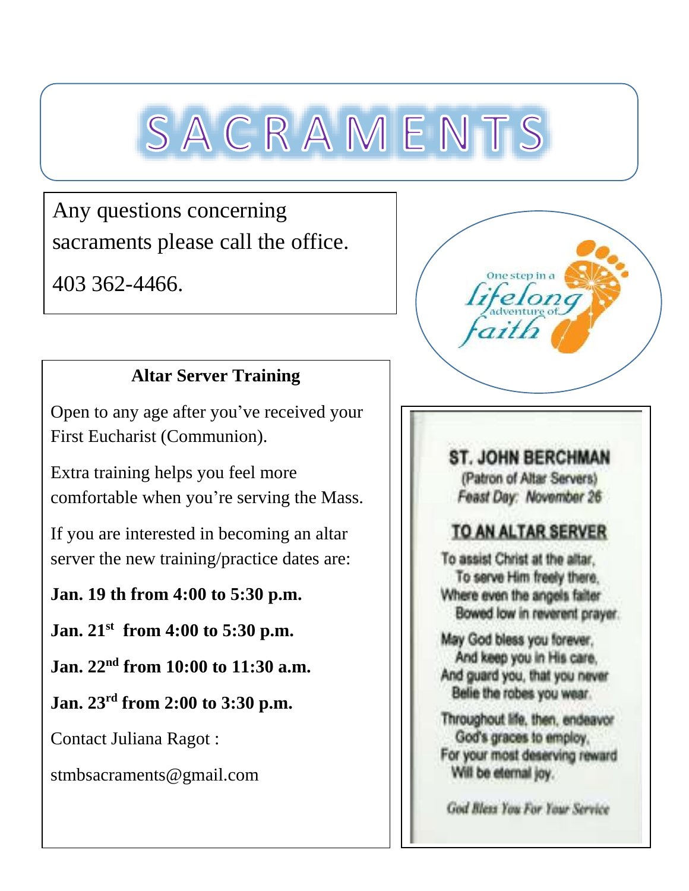# SACRAMENTS

Any questions concerning sacraments please call the office.

403 362-4466.

## **Altar Server Training**

Open to any age after you've received your First Eucharist (Communion).

Extra training helps you feel more comfortable when you're serving the Mass.

If you are interested in becoming an altar server the new training/practice dates are:

## **Jan. 19 th from 4:00 to 5:30 p.m.**

**Jan. 21st from 4:00 to 5:30 p.m.**

**Jan. 22nd from 10:00 to 11:30 a.m.**

**Jan. 23rd from 2:00 to 3:30 p.m.**

Contact Juliana Ragot :

stmbsacraments@gmail.com



## **ST. JOHN BERCHMAN** (Patron of Altar Servers) Feast Day: November 26

## TO AN ALTAR SERVER

To assist Christ at the altar. To serve Him freely there. Where even the angels faiter Bowed low in reverent prayer.

May God bless you forever. And keep you in His care. And guard you, that you never Belie the robes you wear.

Throughout life, then, endeavor God's graces to employ, For your most deserving reward Will be eternal joy.

God Bless You For Your Service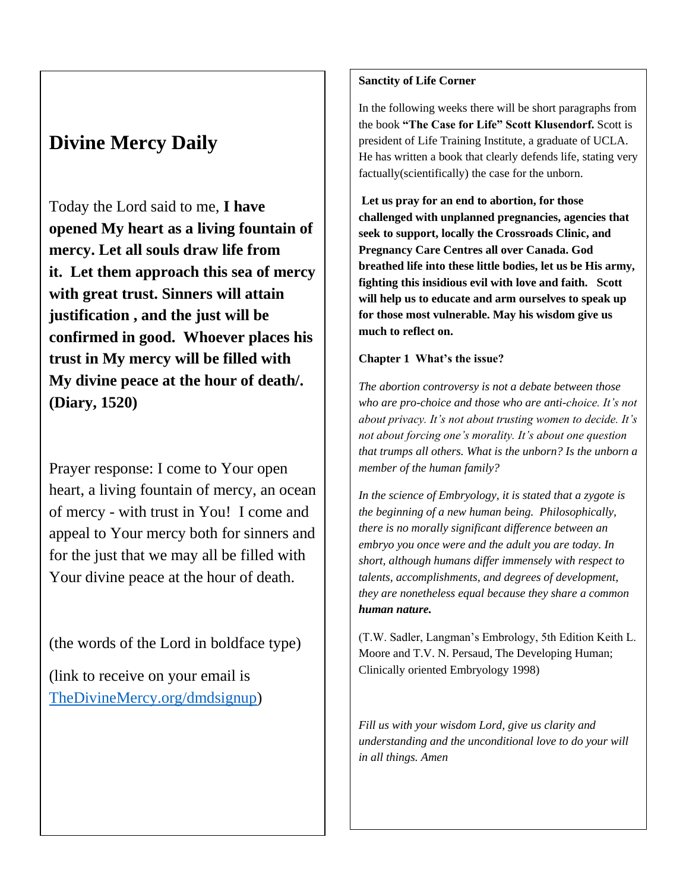## **Divine Mercy Daily**

Today the Lord said to me, **I have opened My heart as a living fountain of mercy. Let all souls draw life from it. Let them approach this sea of mercy with great trust. Sinners will attain justification , and the just will be confirmed in good. Whoever places his trust in My mercy will be filled with My divine peace at the hour of death/. (Diary, 1520)**

Prayer response: I come to Your open heart, a living fountain of mercy, an ocean of mercy - with trust in You! I come and appeal to Your mercy both for sinners and for the just that we may all be filled with Your divine peace at the hour of death.

(the words of the Lord in boldface type)

(link to receive on your email is [TheDivineMercy.org/dmdsignup\)](http://thedivinemercy.org/dmdsignup)

## **Sanctity of Life Corner**

In the following weeks there will be short paragraphs from the book **"The Case for Life" Scott Klusendorf.** Scott is president of Life Training Institute, a graduate of UCLA. He has written a book that clearly defends life, stating very factually(scientifically) the case for the unborn.

**Let us pray for an end to abortion, for those challenged with unplanned pregnancies, agencies that seek to support, locally the Crossroads Clinic, and Pregnancy Care Centres all over Canada. God breathed life into these little bodies, let us be His army, fighting this insidious evil with love and faith. Scott will help us to educate and arm ourselves to speak up for those most vulnerable. May his wisdom give us much to reflect on.**

### **Chapter 1 What's the issue?**

*The abortion controversy is not a debate between those who are pro-choice and those who are anti-choice. It's not about privacy. It's not about trusting women to decide. It's not about forcing one's morality. It's about one question that trumps all others. What is the unborn? Is the unborn a member of the human family?*

*In the science of Embryology, it is stated that a zygote is the beginning of a new human being. Philosophically, there is no morally significant difference between an embryo you once were and the adult you are today. In short, although humans differ immensely with respect to talents, accomplishments, and degrees of development, they are nonetheless equal because they share a common human nature.*

(T.W. Sadler, Langman's Embrology, 5th Edition Keith L. Moore and T.V. N. Persaud, The Developing Human; Clinically oriented Embryology 1998)

*Fill us with your wisdom Lord, give us clarity and understanding and the unconditional love to do your will in all things. Amen*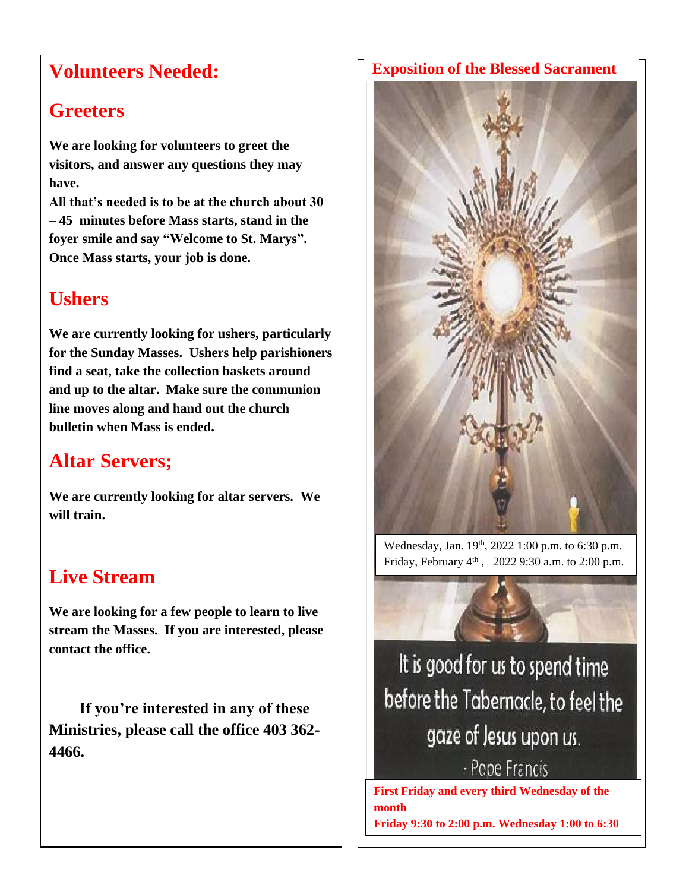## **Volunteers Needed:**

## **Greeters**

**We are looking for volunteers to greet the visitors, and answer any questions they may have.**

**All that's needed is to be at the church about 30 – 45 minutes before Mass starts, stand in the foyer smile and say "Welcome to St. Marys". Once Mass starts, your job is done.**

## **Ushers**

**We are currently looking for ushers, particularly for the Sunday Masses. Ushers help parishioners find a seat, take the collection baskets around and up to the altar. Make sure the communion line moves along and hand out the church bulletin when Mass is ended.**

## **Altar Servers;**

**We are currently looking for altar servers. We will train.**

## **Live Stream**

**We are looking for a few people to learn to live stream the Masses. If you are interested, please contact the office.** 

 **If you're interested in any of these Ministries, please call the office 403 362- 4466.**

## **Exposition of the Blessed Sacrament**



Wednesday, Jan. 19<sup>th</sup>, 2022 1:00 p.m. to 6:30 p.m. Friday, February 4th , 2022 9:30 a.m. to 2:00 p.m.



It is good for us to spend time before the Tabernacle, to feel the gaze of Jesus upon us.

- Pope Francis

**First Friday and every third Wednesday of the month Friday 9:30 to 2:00 p.m. Wednesday 1:00 to 6:30** 

**p.m.**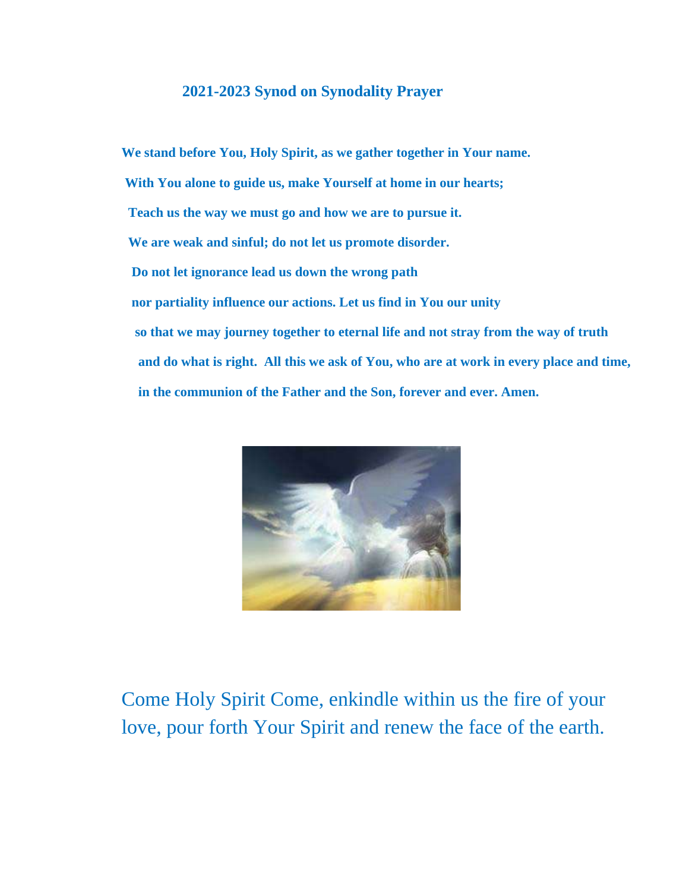## **2021-2023 Synod on Synodality Prayer**

**We stand before You, Holy Spirit, as we gather together in Your name. With You alone to guide us, make Yourself at home in our hearts; Teach us the way we must go and how we are to pursue it. We are weak and sinful; do not let us promote disorder. Do not let ignorance lead us down the wrong path nor partiality influence our actions. Let us find in You our unity so that we may journey together to eternal life and not stray from the way of truth and do what is right. All this we ask of You, who are at work in every place and time, in the communion of the Father and the Son, forever and ever. Amen.**



Come Holy Spirit Come, enkindle within us the fire of your love, pour forth Your Spirit and renew the face of the earth.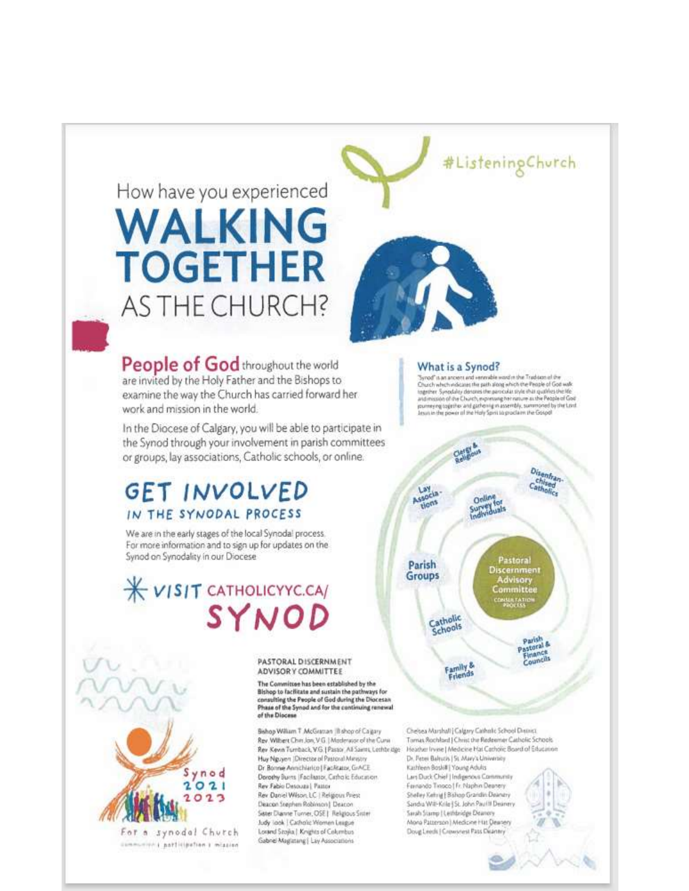# How have you experienced WALKING **TOGETHER** AS THE CHURCH?

People of God throughout the world are invited by the Holy Father and the Bishops to examine the way the Church has carried forward her work and mission in the world.

In the Diocese of Calgary, you will be able to participate in the Synod through your involvement in parish committees or groups, lay associations, Catholic schools, or online.

## **GET INVOLVED** IN THE SYNODAL PROCESS

We are in the early stages of the local Synodal process. For more information and to sign up for updates on the Synod on Synodality in our Diocese

## X VISIT CATHOLICYYC.CA/ SYNOD



For a synodal Church communities a participation a mission PASTORAL DISCERNMENT ADVISOR Y COMMITTEE

The Committee has been established by the Bishop to facilitate and sustain the pathways for consulting the People of God during the Diocesan Phase of the Synod and for the continuing renewal of the Diocese

Bishop William T. McGrattan IB shop of Calgary Rev Wilhert Chin Jon V G | Moderator of the Cura Rev Kevin Tumback, VG. [Pastor, All Saints, Lothbridge Huy Nguyen (Director of Pastoral Mersory Dr Bonne Annchiarico | FacAtator, GrACE Dorothy Burns | Facilitator, Cirtholic Education Rev Fabio Desouza | Pattor Rev Daniel Wilson, LC | Religious Priest Deacon Stephen Robinson | Deacon Sister Diarute Turner, OSE | Religious Sister Judy look | Catholic Women League Lorand Szojka | Knights of Columbus Gabnel Maglatang | Lay Associations

## #ListeningChurch



#### What is a Synod?

Synod" is an ancient and venerable word in the Tradition of the<br>Church which indicates the path along which the People of God walk together Synodaley denotes the particular style that qualifies the life<br>and mission of the Church, expressing her nature as the People of God pument of topiche and garbonig in assembly, summoned by the Lord<br>Jesus in the power of the Holy Spirit to proclaim the Gospol



Chelsea Marshall | Calgary Catholic School District Tomas Rochlad J Christ the Redeemer Catholic Schools Heather Irvise | Medicise Hat Catholic Board of Education Dr. Febri Baltutis | St. Mary's University Kashleen Boskill | Young Adults Lan Duck Chief | Indigenous Community Fernando Tinoco | Fr. Naphin Deanery

Stielley Kehrig | Bishop Grandin Dearwry Sandra Will-Krile | St. John Paul II Deaner Sarah Siamp | Lethbridge Deanory Mona Patterson | Medicine Hat Dewoen Doug Leech | Crowsrest Pass Deanery